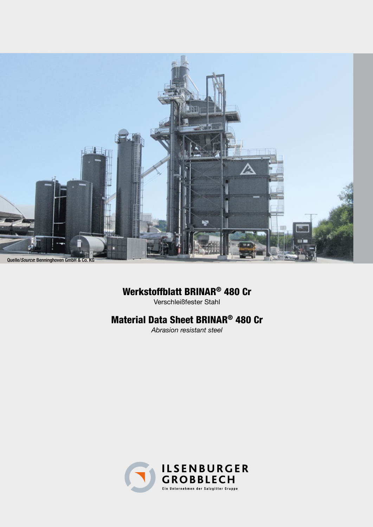

# Werkstoffblatt BRINAR® 480 Cr

Verschleißfester Stahl

# Material Data Sheet BRINAR® 480 Cr

*Abrasion resistant steel*

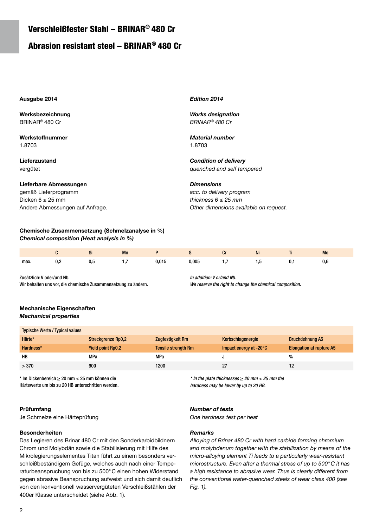## Abrasion resistant steel – BRINAR® 480 Cr

## **Ausgabe 2014**

**Werksbezeichnung** BRINAR® 480 Cr

**Werkstoffnummer** 1.8703

**Lieferzustand** vergütet

**Lieferbare Abmessungen**

gemäß Lieferprogramm Dicken  $6 \leq 25$  mm Andere Abmessungen auf Anfrage.

## **Chemische Zusammensetzung (Schmelzanalyse in %)** *Chemical composition (Heat analysis in %)*

|      |           |     | Mn |       |       | u | Ni | . . | Mo  |
|------|-----------|-----|----|-------|-------|---|----|-----|-----|
| max. | <b>U.</b> | v.u | .  | 0,015 | 0,005 |   | ن. | u.  | U,6 |

Zusätzlich: V oder/und Nb.

Wir behalten uns vor, die chemische Zusammensetzung zu ändern.

## **Mechanische Eigenschaften** *Mechanical properties*

| <b>Typische Werte / Typical values</b> |                           |                            |                                  |                                 |
|----------------------------------------|---------------------------|----------------------------|----------------------------------|---------------------------------|
| Härte*                                 | <b>Streckgrenze Rp0,2</b> | <b>Zugfestigkeit Rm</b>    | Kerbschlagenergie                | <b>Bruchdehnung A5</b>          |
| Hardness*                              | <b>Yield point Rp0,2</b>  | <b>Tensile strength Rm</b> | Impact energy at $-20^{\circ}$ C | <b>Elongation at rupture A5</b> |
| HB                                     | MPa                       | MPa                        |                                  | %                               |
| > 370                                  | 900                       | 1200                       | 27                               |                                 |

\* Im Dickenbereich ≥ 20 mm < 25 mm können die Härtewerte um bis zu 20 HB unterschritten werden.

## **Prüfumfang**

Je Schmelze eine Härteprüfung

## **Besonderheiten**

Das Legieren des Brinar 480 Cr mit den Sonderkarbidbildnern Chrom und Molybdän sowie die Stabilisierung mit Hilfe des Mikrolegierungselementes Titan führt zu einem besonders verschleißbeständigem Gefüge, welches auch nach einer Temperaturbeanspruchung von bis zu 500°C einen hohen Widerstand gegen abrasive Beanspruchung aufweist und sich damit deutlich von den konventionell wasservergüteten Verschleißstählen der 400er Klasse unterscheidet (siehe Abb. 1).

## *Number of tests*

*One hardness test per heat* 

 $*$  In the plate thicknesses  $\geq 20$  mm  $<$  25 mm the hardness may be lower by up to 20 HB.

## *Remarks*

*Alloying of Brinar 480 Cr with hard carbide forming chromium and molybdenum together with the stabilization by means of the micro-alloying element Ti leads to a particularly wear-resistant microstructure. Even after a thermal stress of up to 500°C it has a high resistance to abrasive wear. Thus is clearly different from the conventional water-quenched steels of wear class 400 (see Fig. 1).*

## *Edition 2014*

*Works designation BRINAR® 480 Cr*

## *Material number* 1.8703

*Condition of delivery quenched and self tempered*

*Dimensions*

In addition: V or/and Nb.

*acc. to delivery program thickness 6 ≤ 25 mm Other dimensions available on request.*

We reserve the right to change the chemical composition.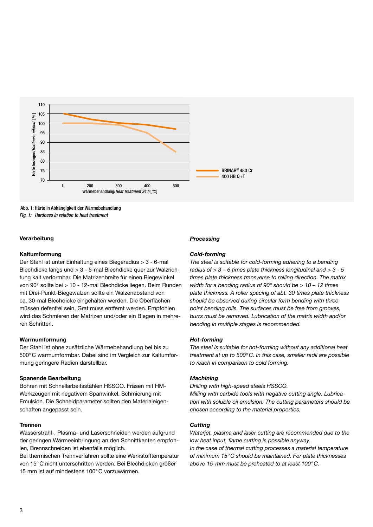

 Abb. 1: Härte in Abhängigkeit der Wärmebehandlung Fig. 1: Hardness in relation to heat treatment

## **Verarbeitung**

#### **Kaltumformung**

Der Stahl ist unter Einhaltung eines Biegeradius > 3 - 6-mal Blechdicke längs und > 3 - 5-mal Blechdicke quer zur Walzrichtung kalt verformbar. Die Matrizenbreite für einen Biegewinkel von 90° sollte bei > 10 - 12-mal Blechdicke liegen. Beim Runden mit Drei-Punkt-Biegewalzen sollte ein Walzenabstand von ca. 30-mal Blechdicke eingehalten werden. Die Oberflächen müssen riefenfrei sein, Grat muss entfernt werden. Empfohlen wird das Schmieren der Matrizen und/oder ein Biegen in mehreren Schritten.

## **Warmumformung**

Der Stahl ist ohne zusätzliche Wärmebehandlung bei bis zu 500°C warmumformbar. Dabei sind im Vergleich zur Kaltumformung geringere Radien darstellbar.

#### **Spanende Bearbeitung**

Bohren mit Schnellarbeitsstählen HSSCO. Fräsen mit HM-Werkzeugen mit negativem Spanwinkel. Schmierung mit Emulsion. Die Schneidparameter sollten den Materialeigenschaften angepasst sein.

#### **Trennen**

Wasserstrahl-, Plasma- und Laserschneiden werden aufgrund der geringen Wärmeeinbringung an den Schnittkanten empfohlen, Brennschneiden ist ebenfalls möglich.

Bei thermischen Trennverfahren sollte eine Werkstofftemperatur von 15°C nicht unterschritten werden. Bei Blechdicken größer 15 mm ist auf mindestens 100°C vorzuwärmen.

## *Processing*

#### *Cold-forming*

*The steel is suitable for cold-forming adhering to a bending radius of > 3 – 6 times plate thickness longitudinal and > 3 - 5 times plate thickness transverse to rolling direction. The matrix width for a bending radius of 90° should be > 10 – 12 times plate thickness. A roller spacing of abt. 30 times plate thickness should be observed during circular form bending with threepoint bending rolls. The surfaces must be free from grooves, burrs must be removed. Lubrication of the matrix width and/or bending in multiple stages is recommended.*

## *Hot-forming*

*The steel is suitable for hot-forming without any additional heat treatment at up to 500°C. In this case, smaller radii are possible to reach in comparison to cold forming.*

#### *Machining*

*Drilling with high-speed steels HSSCO.* 

*Milling with carbide tools with negative cutting angle. Lubrication with soluble oil emulsion. The cutting parameters should be chosen according to the material properties.*

## *Cutting*

*Waterjet, plasma and laser cutting are recommended due to the low heat input, flame cutting is possible anyway.*

*In the case of thermal cutting processes a material temperature of minimum 15°C should be maintained. For plate thicknesses above 15 mm must be preheated to at least 100°C.*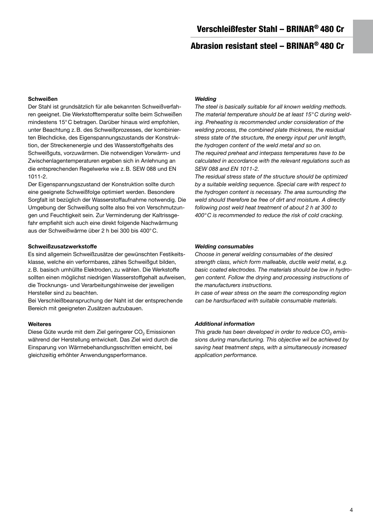# Abrasion resistant steel – BRINAR® 480 Cr

## **Schweißen**

Der Stahl ist grundsätzlich für alle bekannten Schweißverfahren geeignet. Die Werkstofftemperatur sollte beim Schweißen mindestens 15°C betragen. Darüber hinaus wird empfohlen, unter Beachtung z.B. des Schweißprozesses, der kombinierten Blechdicke, des Eigenspannungszustands der Konstruktion, der Streckenenergie und des Wasserstoffgehalts des Schweißguts, vorzuwärmen. Die notwendigen Vorwärm- und Zwischenlagentemperaturen ergeben sich in Anlehnung an die entsprechenden Regelwerke wie z.B. SEW 088 und EN 1011-2.

Der Eigenspannungszustand der Konstruktion sollte durch eine geeignete Schweißfolge optimiert werden. Besondere Sorgfalt ist bezüglich der Wasserstoffaufnahme notwendig. Die Umgebung der Schweißung sollte also frei von Verschmutzungen und Feuchtigkeit sein. Zur Verminderung der Kaltrissgefahr empfiehlt sich auch eine direkt folgende Nachwärmung aus der Schweißwärme über 2 h bei 300 bis 400°C.

## **Schweißzusatzwerkstoffe**

Es sind allgemein Schweißzusätze der gewünschten Festikeitsklasse, welche ein verformbares, zähes Schweißgut bilden, z.B. basisch umhüllte Elektroden, zu wählen. Die Werkstoffe sollten einen möglichst niedrigen Wasserstoffgehalt aufweisen, die Trocknungs- und Verarbeitungshinweise der jeweiligen Hersteller sind zu beachten.

Bei Verschleißbeanspruchung der Naht ist der entsprechende Bereich mit geeigneten Zusätzen aufzubauen.

## **Weiteres**

Diese Güte wurde mit dem Ziel geringerer CO<sub>2</sub> Emissionen während der Herstellung entwickelt. Das Ziel wird durch die Einsparung von Wärmebehandlungsschritten erreicht, bei gleichzeitig erhöhter Anwendungsperformance.

## *Welding*

*The steel is basically suitable for all known welding methods. The material temperature should be at least 15°C during welding. Preheating is recommended under consideration of the welding process, the combined plate thickness, the residual stress state of the structure, the energy input per unit length, the hydrogen content of the weld metal and so on. The required preheat and interpass temperatures have to be calculated in accordance with the relevant regulations such as SEW 088 and EN 1011-2.*

*The residual stress state of the structure should be optimized by a suitable welding sequence. Special care with respect to the hydrogen content is necessary. The area surrounding the weld should therefore be free of dirt and moisture. A directly following post weld heat treatment of about 2 h at 300 to 400°C is recommended to reduce the risk of cold cracking.*

## *Welding consumables*

*Choose in general welding consumables of the desired strength class, which form malleable, ductile weld metal, e.g. basic coated electrodes. The materials should be low in hydrogen content. Follow the drying and processing instructions of the manufacturers instructions.* 

*In case of wear stress on the seam the corresponding region can be hardsurfaced with suitable consumable materials.*

## *Additional information*

*This grade has been developed in order to reduce CO2 emissions during manufacturing. This objective wil be achieved by saving heat treatment steps, with a simultaneously increased application performance.*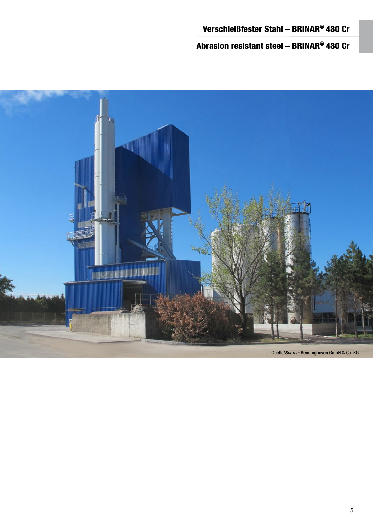Abrasion resistant steel – BRINAR® 480 Cr